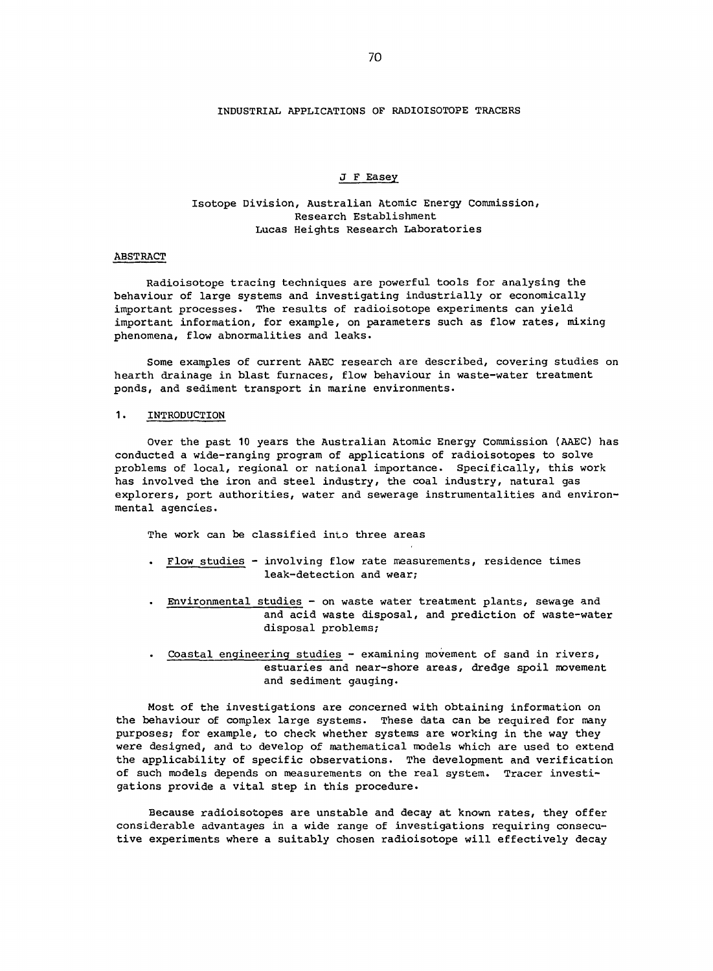## INDUSTRIAL APPLICATIONS OF RADIOISOTOPE TRACERS

#### J F Easey

# Isotope Division, Australian Atomic Energy Commission, Research Establishment Lucas Heights Research Laboratories

#### ABSTRACT

Radioisotope tracing techniques are powerful tools for analysing the behaviour of large systems and investigating industrially or economically important processes. The results of radioisotope experiments can yield important information, for example, on parameters such as flow rates, mixing phenomena, flow abnormalities and leaks.

Some examples of current AAEC research are described, covering studies on hearth drainage in blast furnaces, flow behaviour in waste-water treatment ponds, and sediment transport in marine environments.

### 1. INTRODUCTION

Over the past 10 years the Australian Atomic Energy Commission (AAEC) has conducted a wide-ranging program of applications of radioisotopes to solve problems of local, regional or national importance. Specifically, this work has involved the iron and steel industry, the coal industry, natural gas explorers, port authorities, water and sewerage instrumentalities and environmental agencies.

The work can be classified into three areas

- Flow studies involving flow rate measurements, residence times leak-detection and wear;
- Environmental studies on waste water treatment plants, sewage and and acid waste disposal, and prediction of waste-water disposal problems;
- Coastal engineering studies examining movement of sand in rivers, estuaries and near-shore areas, dredge spoil movement and sediment gauging.

Most of the investigations are concerned with obtaining information on the behaviour of complex large systems. These data can be required for many purposes; for example, to check whether systems are working in the way they were designed, and to develop of mathematical models which are used to extend the applicability of specific observations. The development and verification of such models depends on measurements on the real system. Tracer investigations provide a vital step in this procedure.

Because radioisotopes are unstable and decay at known rates, they offer considerable advantages in a wide range of investigations requiring consecutive experiments where a suitably chosen radioisotope will effectively decay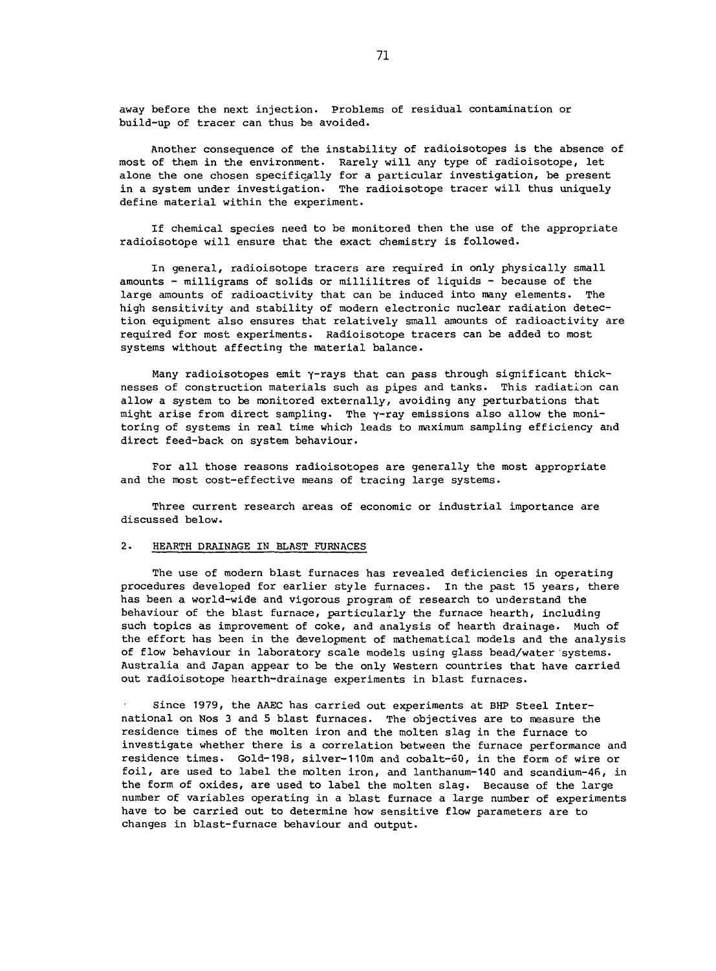away before the next injection. Problems of residual contamination or build-up of tracer can thus be avoided.

Another consequence of the instability of radioisotopes is the absence of most of them in the environment. Rarely will any type of radioisotope, let alone the one chosen specifically for a particular investigation, be present in a system under investigation. The radioisotope tracer will thus uniquely define material within the experiment.

If chemical species need to be monitored then the use of the appropriate radioisotope will ensure that the exact chemistry is followed.

In general, radioisotope tracers are required in only physically small amounts - milligrams of solids or millilitres of liquids - because of the large amounts of radioactivity that can be induced into many elements. The high sensitivity and stability of modern electronic nuclear radiation detection equipment also ensures that relatively small amounts of radioactivity are required for most experiments. Radioisotope tracers can be added to most systems without affecting the material balance.

Many radioisotopes emit Y-rays that can pass through significant thicknesses of construction materials such as pipes and tanks. This radiation can allow a system to be monitored externally, avoiding any perturbations that might arise from direct sampling. The y-ray emissions also allow the monitoring of systems in real time which leads to maximum sampling efficiency and direct feed-back on system behaviour.

For all those reasons radioisotopes are generally the most appropriate and the most cost-effective means of tracing large systems.

Three current research areas of economic or industrial importance are discussed below.

### 2. HEARTH DRAINAGE IN BLAST FURNACES

The use of modern blast furnaces has revealed deficiencies in operating procedures developed for earlier style furnaces. In the past 15 years, there has been a world-wide and vigorous program of research to understand the behaviour of the blast furnace, particularly the furnace hearth, including such topics as improvement of coke, and analysis of hearth drainage. Much of the effort has been in the development of mathematical models and the analysis of flow behaviour in laboratory scale models using glass bead/water systems. Australia and Japan appear to be the only Western countries that have carried out radioisotope hearth-drainage experiments in blast furnaces.

Since 1979, the AAEC has carried out experiments at BHP Steel International on Nos 3 and 5 blast furnaces. The objectives are to measure the residence times of the molten iron and the molten slag in the furnace to investigate whether there is a correlation between the furnace performance and residence times. Gold-198, silver-11Om and cobalt-60, in the form of wire or foil, are used to label the molten iron, and lanthanum-140 and scandium-46, in the form of oxides, are used to label the molten slag. Because of the large number of variables operating in a blast furnace a large number of experiments have to be carried out to determine how sensitive flow parameters are to changes in blast-furnace behaviour and output.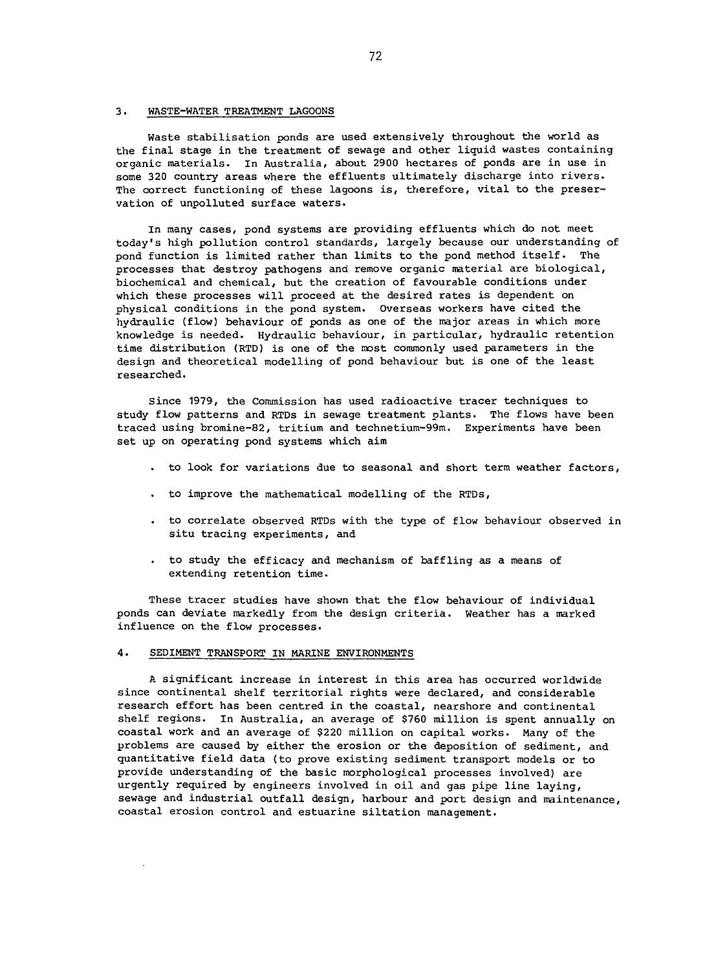## 3. WASTE-WATER TREATMENT LAGOONS

Waste stabilisation ponds are used extensively throughout the world as the final stage in the treatment of sewage and other liquid wastes containing organic materials. In Australia, about 2900 hectares of ponds are in use in some 320 country areas where the effluents ultimately discharge into rivers. The correct functioning of these lagoons is, therefore, vital to the preservation of unpolluted surface waters.

In many cases, pond systems are providing effluents which do not meet today's high pollution control standards, largely because our understanding of pond function is limited rather than limits to the pond method itself. The processes that destroy pathogens and remove organic material are biological, biochemical and chemical, but the creation of favourable conditions under which these processes will proceed at the desired rates is dependent on physical conditions in the pond system. Overseas workers have cited the hydraulic (flow) behaviour of ponds as one of the major areas in which more knowledge is needed. Hydraulic behaviour, in particular, hydraulic retention time distribution (RTD) is one of the most commonly used parameters in the design and theoretical modelling of pond behaviour but is one of the least researched.

Since 1979, the Commission has used radioactive tracer techniques to study flow patterns and RTDs in sewage treatment plants. The flows have been traced using bromine-82, tritium and technetium-99m. Experiments have been set up on operating pond systems which aim

- to look for variations due to seasonal and short term weather factors,
- to improve the mathematical modelling of the RTDs,
- to correlate observed RTDs with the type of flow behaviour observed in situ tracing experiments, and
- to study the efficacy and mechanism of baffling as a means of extending retention time.

These tracer studies have shown that the flow behaviour of individual ponds can deviate markedly from the design criteria. Weather has a marked influence on the flow processes.

## 4. SEDIMENT TRANSPORT IN MARINE ENVIRONMENTS

A significant increase in interest in this area has occurred worldwide since continental shelf territorial rights were declared, and considerable research effort has been centred in the coastal, nearshore and continental shelf regions. In Australia, an average of \$760 million is spent annually on coastal work and an average of \$220 million on capital works. Many of the problems are caused by either the erosion or the deposition of sediment, and quantitative field data (to prove existing sediment transport models or to provide understanding of the basic morphological processes involved) are urgently required by engineers involved in oil and gas pipe line laying, sewage and industrial outfall design, harbour and port design and maintenance, coastal erosion control and estuarine siltation management.